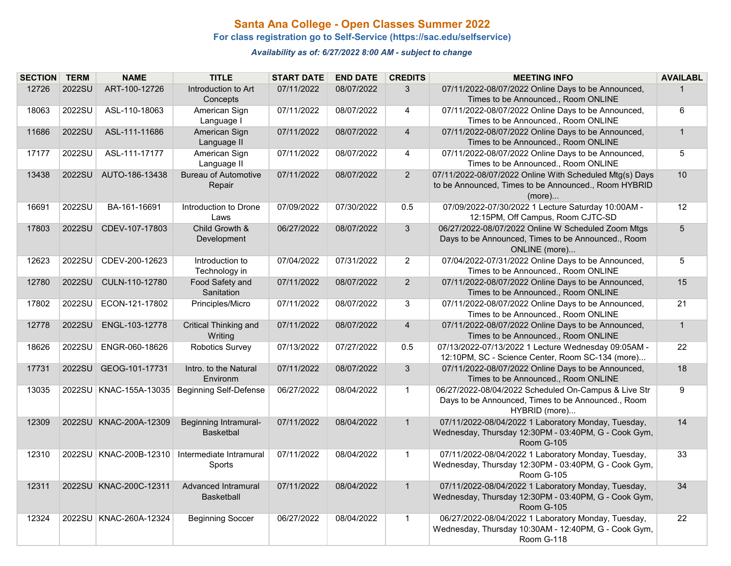## **Santa Ana College - Open Classes Summer 2022**

**For class registration go to Self-Service (https://sac.edu/selfservice)**

### *Availability as of: 6/27/2022 8:00 AM - subject to change*

| <b>SECTION</b> | <b>TERM</b> | <b>NAME</b>              | <b>TITLE</b>                                     | <b>START DATE</b> | <b>END DATE</b> | <b>CREDITS</b> | <b>MEETING INFO</b>                                                                                                              | <b>AVAILABL</b> |
|----------------|-------------|--------------------------|--------------------------------------------------|-------------------|-----------------|----------------|----------------------------------------------------------------------------------------------------------------------------------|-----------------|
| 12726          | 2022SU      | ART-100-12726            | Introduction to Art<br>Concepts                  | 07/11/2022        | 08/07/2022      | 3              | 07/11/2022-08/07/2022 Online Days to be Announced.<br>Times to be Announced., Room ONLINE                                        |                 |
| 18063          | 2022SU      | ASL-110-18063            | American Sign<br>Language I                      | 07/11/2022        | 08/07/2022      | 4              | 07/11/2022-08/07/2022 Online Days to be Announced,<br>Times to be Announced., Room ONLINE                                        | $6\overline{6}$ |
| 11686          | 2022SU      | ASL-111-11686            | American Sign<br>Language II                     | 07/11/2022        | 08/07/2022      | $\overline{4}$ | 07/11/2022-08/07/2022 Online Days to be Announced,<br>Times to be Announced., Room ONLINE                                        | $\mathbf{1}$    |
| 17177          | 2022SU      | ASL-111-17177            | American Sign<br>Language II                     | 07/11/2022        | 08/07/2022      | $\overline{4}$ | 07/11/2022-08/07/2022 Online Days to be Announced,<br>Times to be Announced., Room ONLINE                                        | 5               |
| 13438          | 2022SU      | AUTO-186-13438           | <b>Bureau of Automotive</b><br>Repair            | 07/11/2022        | 08/07/2022      | $\overline{2}$ | 07/11/2022-08/07/2022 Online With Scheduled Mtg(s) Days<br>to be Announced, Times to be Announced., Room HYBRID<br>(more)        | 10              |
| 16691          | 2022SU      | BA-161-16691             | Introduction to Drone<br>Laws                    | 07/09/2022        | 07/30/2022      | 0.5            | 07/09/2022-07/30/2022 1 Lecture Saturday 10:00AM -<br>12:15PM, Off Campus, Room CJTC-SD                                          | 12              |
| 17803          | 2022SU      | CDEV-107-17803           | Child Growth &<br>Development                    | 06/27/2022        | 08/07/2022      | $\mathbf{3}$   | 06/27/2022-08/07/2022 Online W Scheduled Zoom Mtgs<br>Days to be Announced, Times to be Announced., Room<br>ONLINE (more)        | 5               |
| 12623          | 2022SU      | CDEV-200-12623           | Introduction to<br>Technology in                 | 07/04/2022        | 07/31/2022      | $\overline{2}$ | 07/04/2022-07/31/2022 Online Days to be Announced,<br>Times to be Announced., Room ONLINE                                        | 5               |
| 12780          | 2022SU      | CULN-110-12780           | Food Safety and<br>Sanitation                    | 07/11/2022        | 08/07/2022      | $\overline{2}$ | 07/11/2022-08/07/2022 Online Days to be Announced,<br>Times to be Announced., Room ONLINE                                        | 15              |
| 17802          | 2022SU      | ECON-121-17802           | Principles/Micro                                 | 07/11/2022        | 08/07/2022      | 3              | 07/11/2022-08/07/2022 Online Days to be Announced,<br>Times to be Announced., Room ONLINE                                        | 21              |
| 12778          | 2022SU      | ENGL-103-12778           | Critical Thinking and<br>Writing                 | 07/11/2022        | 08/07/2022      | $\overline{4}$ | 07/11/2022-08/07/2022 Online Days to be Announced,<br>Times to be Announced., Room ONLINE                                        | $\mathbf{1}$    |
| 18626          | 2022SU      | ENGR-060-18626           | Robotics Survey                                  | 07/13/2022        | 07/27/2022      | 0.5            | 07/13/2022-07/13/2022 1 Lecture Wednesday 09:05AM -<br>12:10PM, SC - Science Center, Room SC-134 (more)                          | 22              |
| 17731          |             | 2022SU GEOG-101-17731    | Intro. to the Natural<br>Environm                | 07/11/2022        | 08/07/2022      | $\mathbf{3}$   | 07/11/2022-08/07/2022 Online Days to be Announced,<br>Times to be Announced., Room ONLINE                                        | 18              |
| 13035          |             | 2022SU KNAC-155A-13035   | <b>Beginning Self-Defense</b>                    | 06/27/2022        | 08/04/2022      | $\mathbf{1}$   | 06/27/2022-08/04/2022 Scheduled On-Campus & Live Str<br>Days to be Announced, Times to be Announced., Room<br>HYBRID (more)      | 9               |
| 12309          |             | 2022SU KNAC-200A-12309   | <b>Beginning Intramural-</b><br><b>Basketbal</b> | 07/11/2022        | 08/04/2022      | $\mathbf{1}$   | 07/11/2022-08/04/2022 1 Laboratory Monday, Tuesday,<br>Wednesday, Thursday 12:30PM - 03:40PM, G - Cook Gym,<br><b>Room G-105</b> | 14              |
| 12310          |             | 2022SU   KNAC-200B-12310 | Intermediate Intramural<br>Sports                | 07/11/2022        | 08/04/2022      | $\mathbf{1}$   | 07/11/2022-08/04/2022 1 Laboratory Monday, Tuesday,<br>Wednesday, Thursday 12:30PM - 03:40PM, G - Cook Gym,<br>Room G-105        | 33              |
| 12311          |             | 2022SU KNAC-200C-12311   | <b>Advanced Intramural</b><br><b>Basketball</b>  | 07/11/2022        | 08/04/2022      | $\mathbf{1}$   | 07/11/2022-08/04/2022 1 Laboratory Monday, Tuesday,<br>Wednesday, Thursday 12:30PM - 03:40PM, G - Cook Gym,<br><b>Room G-105</b> | 34              |
| 12324          |             | 2022SU KNAC-260A-12324   | <b>Beginning Soccer</b>                          | 06/27/2022        | 08/04/2022      | $\mathbf{1}$   | 06/27/2022-08/04/2022 1 Laboratory Monday, Tuesday,<br>Wednesday, Thursday 10:30AM - 12:40PM, G - Cook Gym,<br>Room G-118        | 22              |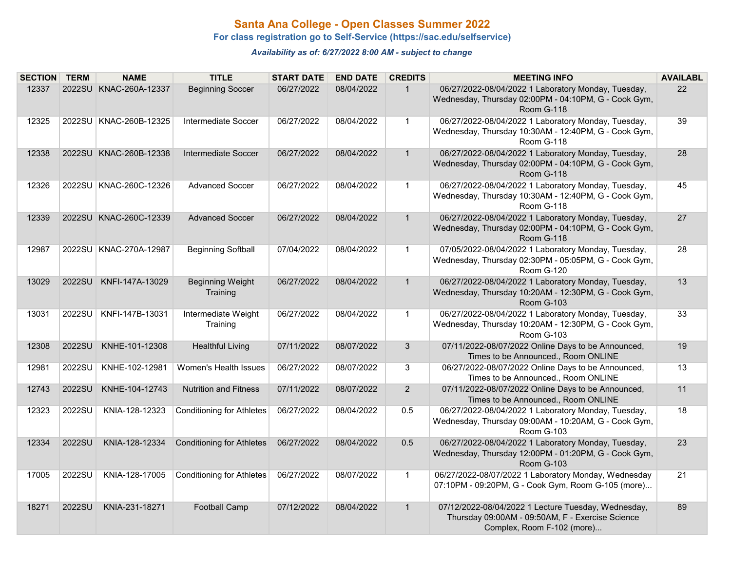### **Santa Ana College - Open Classes Summer 2022**

**For class registration go to Self-Service (https://sac.edu/selfservice)**

*Availability as of: 6/27/2022 8:00 AM - subject to change*

| <b>SECTION TERM</b> |        | <b>NAME</b>              | <b>TITLE</b>                        | <b>START DATE</b> | <b>END DATE</b> | <b>CREDITS</b> | <b>MEETING INFO</b>                                                                                                                   | <b>AVAILABL</b> |
|---------------------|--------|--------------------------|-------------------------------------|-------------------|-----------------|----------------|---------------------------------------------------------------------------------------------------------------------------------------|-----------------|
| 12337               |        | 2022SU KNAC-260A-12337   | <b>Beginning Soccer</b>             | 06/27/2022        | 08/04/2022      | $\mathbf{1}$   | 06/27/2022-08/04/2022 1 Laboratory Monday, Tuesday,<br>Wednesday, Thursday 02:00PM - 04:10PM, G - Cook Gym,<br>Room G-118             | 22              |
| 12325               |        | 2022SU KNAC-260B-12325   | Intermediate Soccer                 | 06/27/2022        | 08/04/2022      | $\mathbf{1}$   | 06/27/2022-08/04/2022 1 Laboratory Monday, Tuesday,<br>Wednesday, Thursday 10:30AM - 12:40PM, G - Cook Gym,<br>Room G-118             | 39              |
| 12338               |        | 2022SU KNAC-260B-12338   | Intermediate Soccer                 | 06/27/2022        | 08/04/2022      | $\mathbf{1}$   | 06/27/2022-08/04/2022 1 Laboratory Monday, Tuesday,<br>Wednesday, Thursday 02:00PM - 04:10PM, G - Cook Gym,<br>Room G-118             | 28              |
| 12326               |        | 2022SU KNAC-260C-12326   | <b>Advanced Soccer</b>              | 06/27/2022        | 08/04/2022      | $\mathbf{1}$   | 06/27/2022-08/04/2022 1 Laboratory Monday, Tuesday,<br>Wednesday, Thursday 10:30AM - 12:40PM, G - Cook Gym,<br>Room G-118             | 45              |
| 12339               |        | 2022SU KNAC-260C-12339   | <b>Advanced Soccer</b>              | 06/27/2022        | 08/04/2022      | $\mathbf{1}$   | 06/27/2022-08/04/2022 1 Laboratory Monday, Tuesday,<br>Wednesday, Thursday 02:00PM - 04:10PM, G - Cook Gym,<br>Room G-118             | 27              |
| 12987               |        | 2022SU   KNAC-270A-12987 | <b>Beginning Softball</b>           | 07/04/2022        | 08/04/2022      | $\mathbf{1}$   | 07/05/2022-08/04/2022 1 Laboratory Monday, Tuesday,<br>Wednesday, Thursday 02:30PM - 05:05PM, G - Cook Gym,<br>Room G-120             | 28              |
| 13029               | 2022SU | KNFI-147A-13029          | <b>Beginning Weight</b><br>Training | 06/27/2022        | 08/04/2022      | $\mathbf{1}$   | 06/27/2022-08/04/2022 1 Laboratory Monday, Tuesday,<br>Wednesday, Thursday 10:20AM - 12:30PM, G - Cook Gym,<br>Room G-103             | 13              |
| 13031               |        | 2022SU   KNFI-147B-13031 | Intermediate Weight<br>Training     | 06/27/2022        | 08/04/2022      | $\mathbf{1}$   | 06/27/2022-08/04/2022 1 Laboratory Monday, Tuesday,<br>Wednesday, Thursday 10:20AM - 12:30PM, G - Cook Gym,<br>Room G-103             | 33              |
| 12308               | 2022SU | KNHE-101-12308           | <b>Healthful Living</b>             | 07/11/2022        | 08/07/2022      | 3              | 07/11/2022-08/07/2022 Online Days to be Announced,<br>Times to be Announced., Room ONLINE                                             | 19              |
| 12981               | 2022SU | KNHE-102-12981           | Women's Health Issues               | 06/27/2022        | 08/07/2022      | 3              | 06/27/2022-08/07/2022 Online Days to be Announced,<br>Times to be Announced., Room ONLINE                                             | 13              |
| 12743               | 2022SU | KNHE-104-12743           | <b>Nutrition and Fitness</b>        | 07/11/2022        | 08/07/2022      | $\overline{2}$ | 07/11/2022-08/07/2022 Online Days to be Announced,<br>Times to be Announced., Room ONLINE                                             | 11              |
| 12323               | 2022SU | KNIA-128-12323           | <b>Conditioning for Athletes</b>    | 06/27/2022        | 08/04/2022      | 0.5            | 06/27/2022-08/04/2022 1 Laboratory Monday, Tuesday,<br>Wednesday, Thursday 09:00AM - 10:20AM, G - Cook Gym,<br>Room G-103             | 18              |
| 12334               | 2022SU | KNIA-128-12334           | <b>Conditioning for Athletes</b>    | 06/27/2022        | 08/04/2022      | 0.5            | 06/27/2022-08/04/2022 1 Laboratory Monday, Tuesday,<br>Wednesday, Thursday 12:00PM - 01:20PM, G - Cook Gym,<br><b>Room G-103</b>      | 23              |
| 17005               | 2022SU | KNIA-128-17005           | <b>Conditioning for Athletes</b>    | 06/27/2022        | 08/07/2022      | $\mathbf{1}$   | 06/27/2022-08/07/2022 1 Laboratory Monday, Wednesday<br>07:10PM - 09:20PM, G - Cook Gym, Room G-105 (more)                            | 21              |
| 18271               | 2022SU | KNIA-231-18271           | <b>Football Camp</b>                | 07/12/2022        | 08/04/2022      | $\mathbf{1}$   | 07/12/2022-08/04/2022 1 Lecture Tuesday, Wednesday,<br>Thursday 09:00AM - 09:50AM, F - Exercise Science<br>Complex, Room F-102 (more) | 89              |